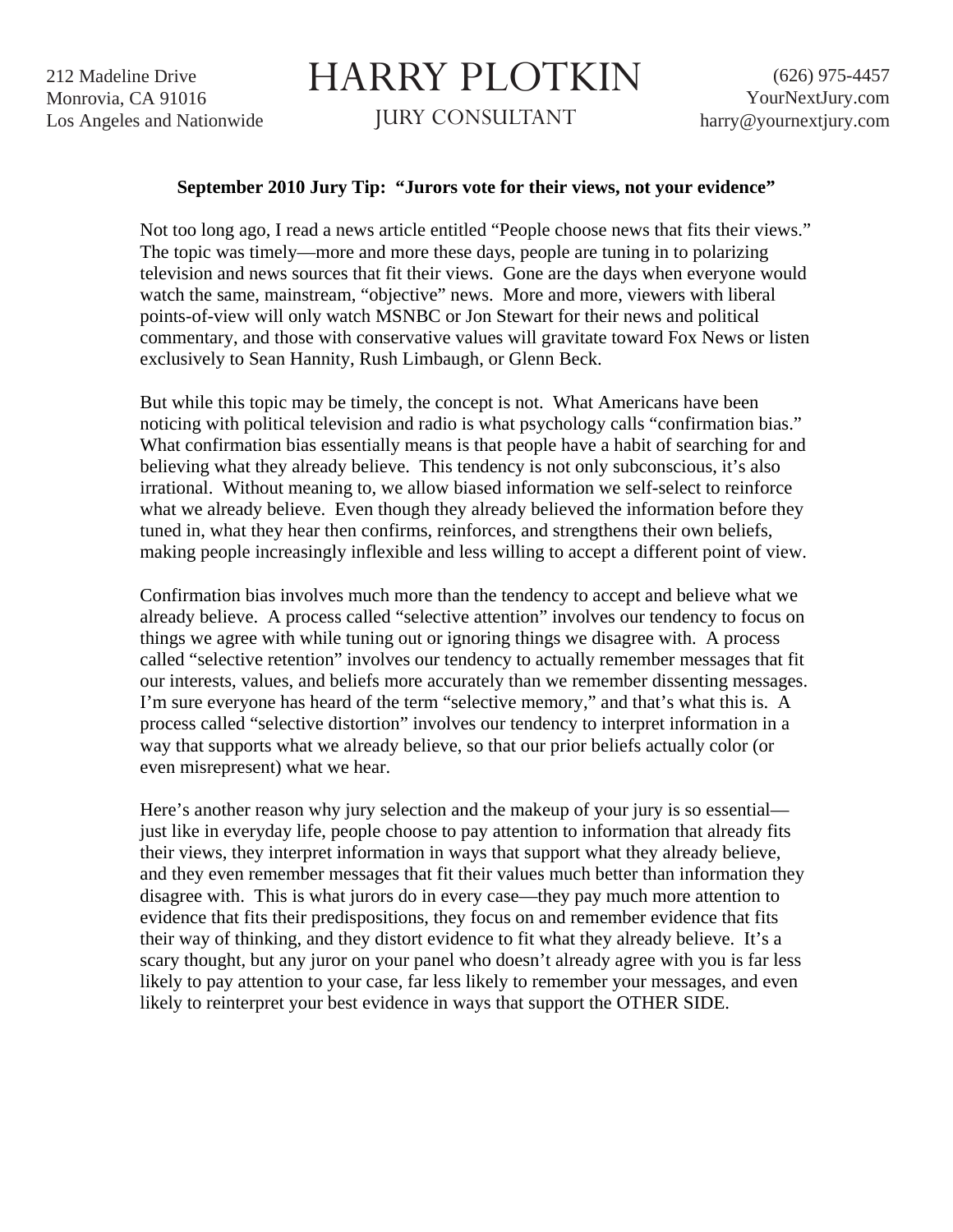212 Madeline Drive Monrovia, CA 91016 Los Angeles and Nationwide

## HARRY PLOTKIN

JURY CONSULTANT

## **September 2010 Jury Tip: "Jurors vote for their views, not your evidence"**

Not too long ago, I read a news article entitled "People choose news that fits their views." The topic was timely—more and more these days, people are tuning in to polarizing television and news sources that fit their views. Gone are the days when everyone would watch the same, mainstream, "objective" news. More and more, viewers with liberal points-of-view will only watch MSNBC or Jon Stewart for their news and political commentary, and those with conservative values will gravitate toward Fox News or listen exclusively to Sean Hannity, Rush Limbaugh, or Glenn Beck.

But while this topic may be timely, the concept is not. What Americans have been noticing with political television and radio is what psychology calls "confirmation bias." What confirmation bias essentially means is that people have a habit of searching for and believing what they already believe. This tendency is not only subconscious, it's also irrational. Without meaning to, we allow biased information we self-select to reinforce what we already believe. Even though they already believed the information before they tuned in, what they hear then confirms, reinforces, and strengthens their own beliefs, making people increasingly inflexible and less willing to accept a different point of view.

Confirmation bias involves much more than the tendency to accept and believe what we already believe. A process called "selective attention" involves our tendency to focus on things we agree with while tuning out or ignoring things we disagree with. A process called "selective retention" involves our tendency to actually remember messages that fit our interests, values, and beliefs more accurately than we remember dissenting messages. I'm sure everyone has heard of the term "selective memory," and that's what this is. A process called "selective distortion" involves our tendency to interpret information in a way that supports what we already believe, so that our prior beliefs actually color (or even misrepresent) what we hear.

Here's another reason why jury selection and the makeup of your jury is so essential just like in everyday life, people choose to pay attention to information that already fits their views, they interpret information in ways that support what they already believe, and they even remember messages that fit their values much better than information they disagree with. This is what jurors do in every case—they pay much more attention to evidence that fits their predispositions, they focus on and remember evidence that fits their way of thinking, and they distort evidence to fit what they already believe. It's a scary thought, but any juror on your panel who doesn't already agree with you is far less likely to pay attention to your case, far less likely to remember your messages, and even likely to reinterpret your best evidence in ways that support the OTHER SIDE.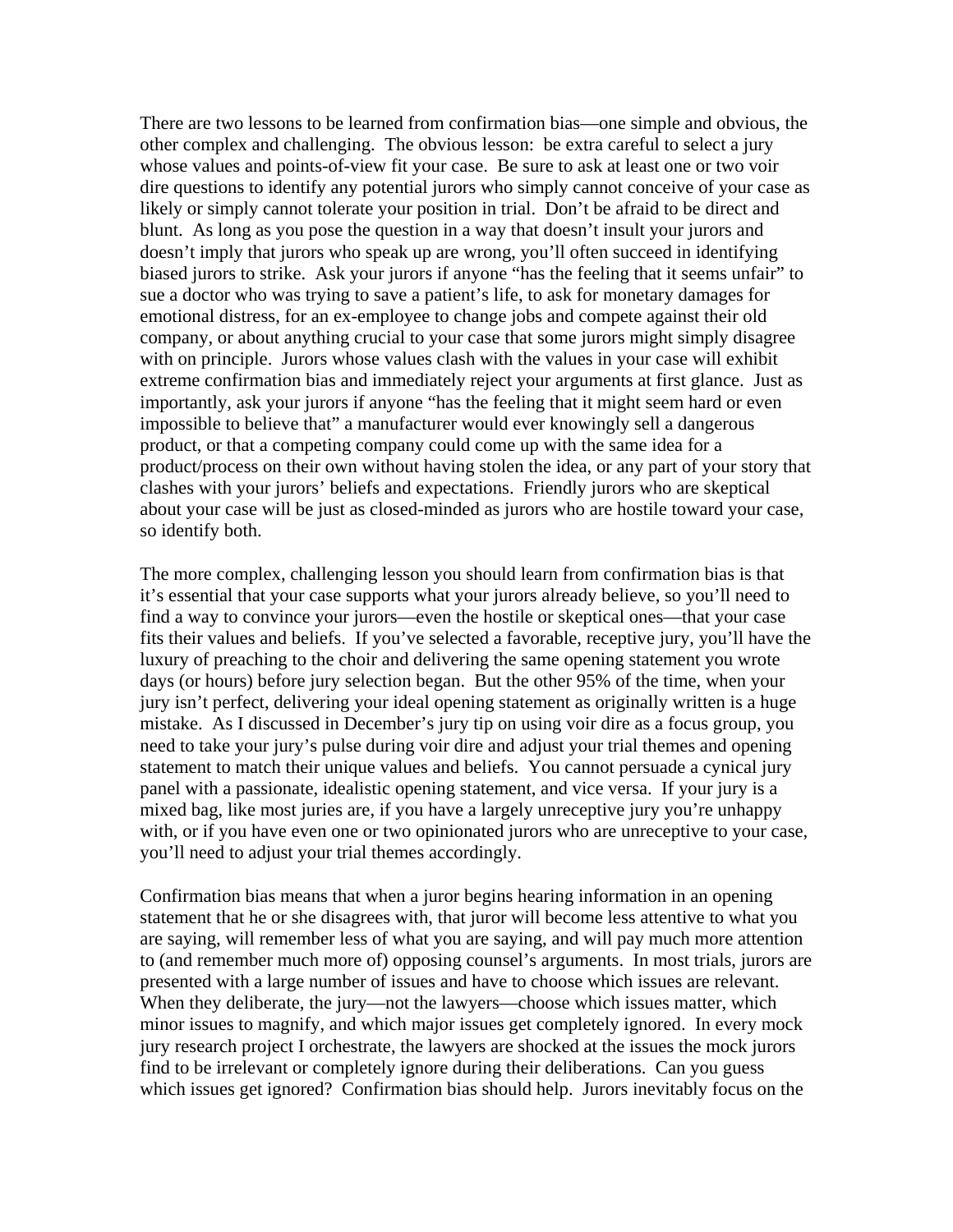There are two lessons to be learned from confirmation bias—one simple and obvious, the other complex and challenging. The obvious lesson: be extra careful to select a jury whose values and points-of-view fit your case. Be sure to ask at least one or two voir dire questions to identify any potential jurors who simply cannot conceive of your case as likely or simply cannot tolerate your position in trial. Don't be afraid to be direct and blunt. As long as you pose the question in a way that doesn't insult your jurors and doesn't imply that jurors who speak up are wrong, you'll often succeed in identifying biased jurors to strike. Ask your jurors if anyone "has the feeling that it seems unfair" to sue a doctor who was trying to save a patient's life, to ask for monetary damages for emotional distress, for an ex-employee to change jobs and compete against their old company, or about anything crucial to your case that some jurors might simply disagree with on principle. Jurors whose values clash with the values in your case will exhibit extreme confirmation bias and immediately reject your arguments at first glance. Just as importantly, ask your jurors if anyone "has the feeling that it might seem hard or even impossible to believe that" a manufacturer would ever knowingly sell a dangerous product, or that a competing company could come up with the same idea for a product/process on their own without having stolen the idea, or any part of your story that clashes with your jurors' beliefs and expectations. Friendly jurors who are skeptical about your case will be just as closed-minded as jurors who are hostile toward your case, so identify both.

The more complex, challenging lesson you should learn from confirmation bias is that it's essential that your case supports what your jurors already believe, so you'll need to find a way to convince your jurors—even the hostile or skeptical ones—that your case fits their values and beliefs. If you've selected a favorable, receptive jury, you'll have the luxury of preaching to the choir and delivering the same opening statement you wrote days (or hours) before jury selection began. But the other 95% of the time, when your jury isn't perfect, delivering your ideal opening statement as originally written is a huge mistake. As I discussed in December's jury tip on using voir dire as a focus group, you need to take your jury's pulse during voir dire and adjust your trial themes and opening statement to match their unique values and beliefs. You cannot persuade a cynical jury panel with a passionate, idealistic opening statement, and vice versa. If your jury is a mixed bag, like most juries are, if you have a largely unreceptive jury you're unhappy with, or if you have even one or two opinionated jurors who are unreceptive to your case, you'll need to adjust your trial themes accordingly.

Confirmation bias means that when a juror begins hearing information in an opening statement that he or she disagrees with, that juror will become less attentive to what you are saying, will remember less of what you are saying, and will pay much more attention to (and remember much more of) opposing counsel's arguments. In most trials, jurors are presented with a large number of issues and have to choose which issues are relevant. When they deliberate, the jury—not the lawyers—choose which issues matter, which minor issues to magnify, and which major issues get completely ignored. In every mock jury research project I orchestrate, the lawyers are shocked at the issues the mock jurors find to be irrelevant or completely ignore during their deliberations. Can you guess which issues get ignored? Confirmation bias should help. Jurors inevitably focus on the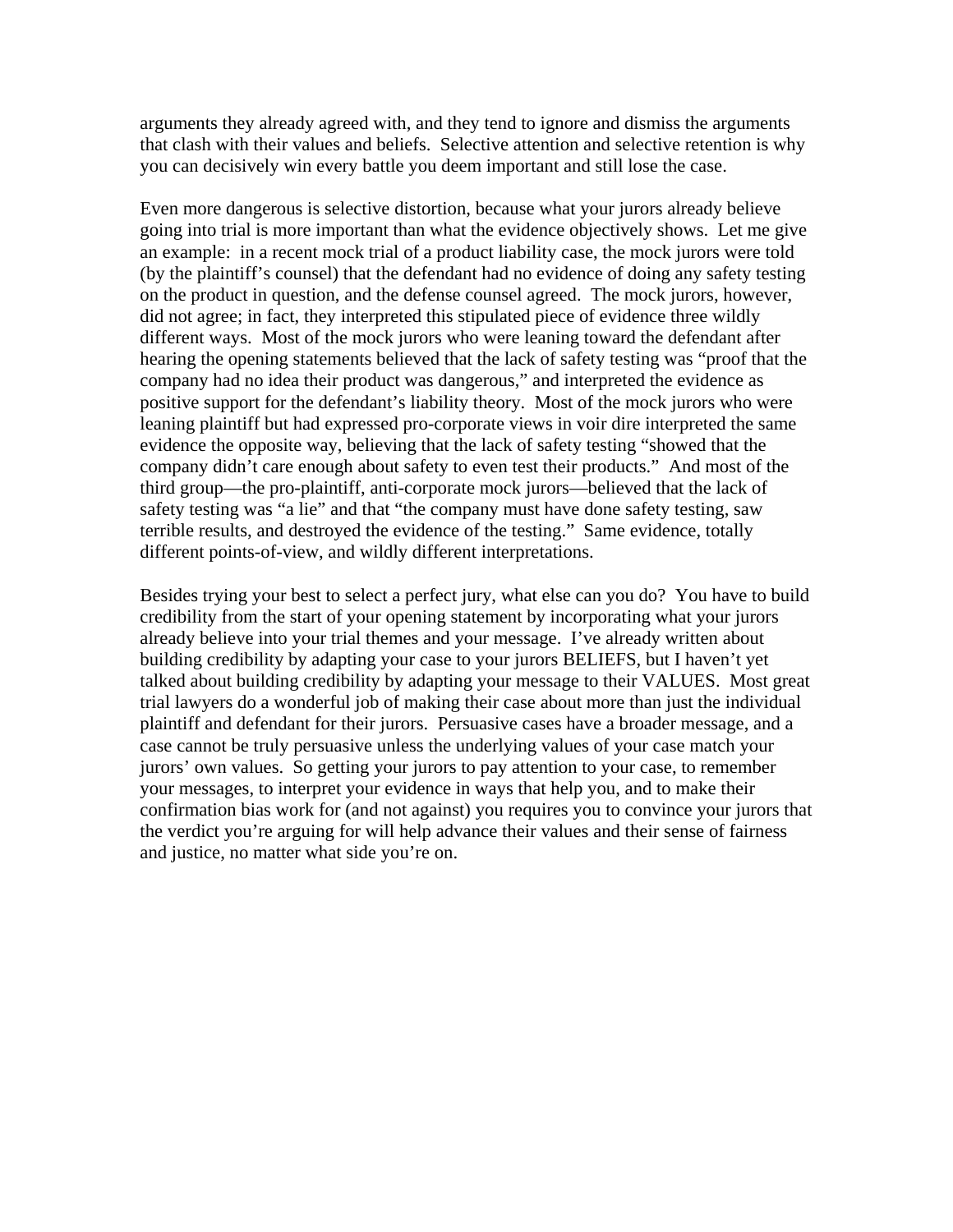arguments they already agreed with, and they tend to ignore and dismiss the arguments that clash with their values and beliefs. Selective attention and selective retention is why you can decisively win every battle you deem important and still lose the case.

Even more dangerous is selective distortion, because what your jurors already believe going into trial is more important than what the evidence objectively shows. Let me give an example: in a recent mock trial of a product liability case, the mock jurors were told (by the plaintiff's counsel) that the defendant had no evidence of doing any safety testing on the product in question, and the defense counsel agreed. The mock jurors, however, did not agree; in fact, they interpreted this stipulated piece of evidence three wildly different ways. Most of the mock jurors who were leaning toward the defendant after hearing the opening statements believed that the lack of safety testing was "proof that the company had no idea their product was dangerous," and interpreted the evidence as positive support for the defendant's liability theory. Most of the mock jurors who were leaning plaintiff but had expressed pro-corporate views in voir dire interpreted the same evidence the opposite way, believing that the lack of safety testing "showed that the company didn't care enough about safety to even test their products." And most of the third group—the pro-plaintiff, anti-corporate mock jurors—believed that the lack of safety testing was "a lie" and that "the company must have done safety testing, saw terrible results, and destroyed the evidence of the testing." Same evidence, totally different points-of-view, and wildly different interpretations.

Besides trying your best to select a perfect jury, what else can you do? You have to build credibility from the start of your opening statement by incorporating what your jurors already believe into your trial themes and your message. I've already written about building credibility by adapting your case to your jurors BELIEFS, but I haven't yet talked about building credibility by adapting your message to their VALUES. Most great trial lawyers do a wonderful job of making their case about more than just the individual plaintiff and defendant for their jurors. Persuasive cases have a broader message, and a case cannot be truly persuasive unless the underlying values of your case match your jurors' own values. So getting your jurors to pay attention to your case, to remember your messages, to interpret your evidence in ways that help you, and to make their confirmation bias work for (and not against) you requires you to convince your jurors that the verdict you're arguing for will help advance their values and their sense of fairness and justice, no matter what side you're on.